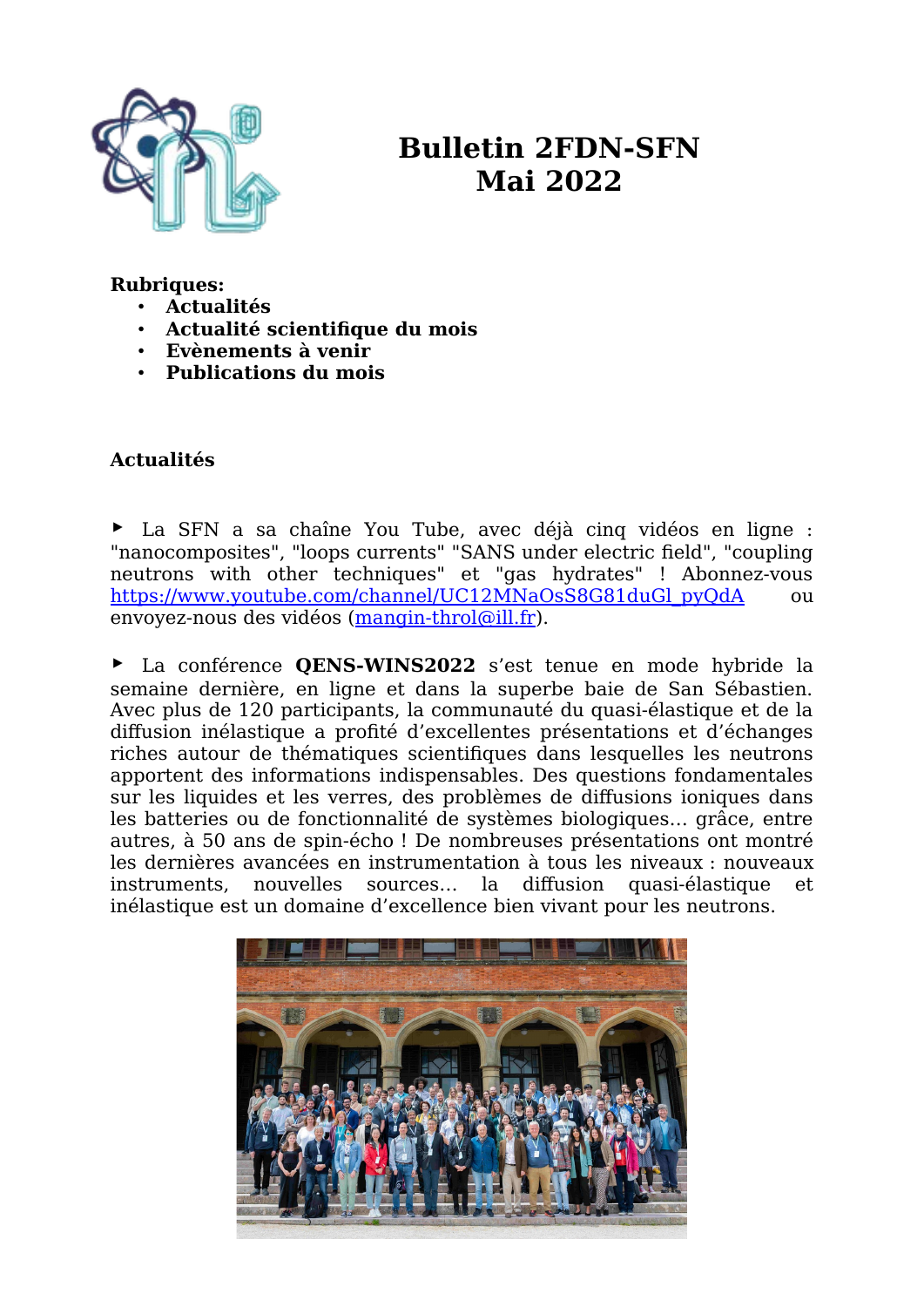

# **Bulletin 2FDN-SFN Mai 2022**

#### **Rubriques:**

- **Actualités**
- **Actualité scientifique du mois**
- **Evènements à venir**
- **Publications du mois**

## **Actualités**

▶ La SFN a sa chaîne You Tube, avec déjà cinq vidéos en ligne : "nanocomposites", "loops currents" "SANS under electric field", "coupling neutrons with other techniques" et "gas hydrates" ! Abonnez-vous https://www.youtube.com/channel/UC12MNaOsS8G81duGl\_pyOdA ou envoyez-nous des vidéos ([mangin-throl@ill.fr](mailto:mangin-throl@ill.fr)).

▶ La conférence **QENS-WINS2022** s'est tenue en mode hybride la semaine dernière, en ligne et dans la superbe baie de San Sébastien. Avec plus de 120 participants, la communauté du quasi-élastique et de la diffusion inélastique a profité d'excellentes présentations et d'échanges riches autour de thématiques scientifiques dans lesquelles les neutrons apportent des informations indispensables. Des questions fondamentales sur les liquides et les verres, des problèmes de diffusions ioniques dans les batteries ou de fonctionnalité de systèmes biologiques… grâce, entre autres, à 50 ans de spin-écho ! De nombreuses présentations ont montré les dernières avancées en instrumentation à tous les niveaux : nouveaux instruments, nouvelles sources… la diffusion quasi-élastique et inélastique est un domaine d'excellence bien vivant pour les neutrons.

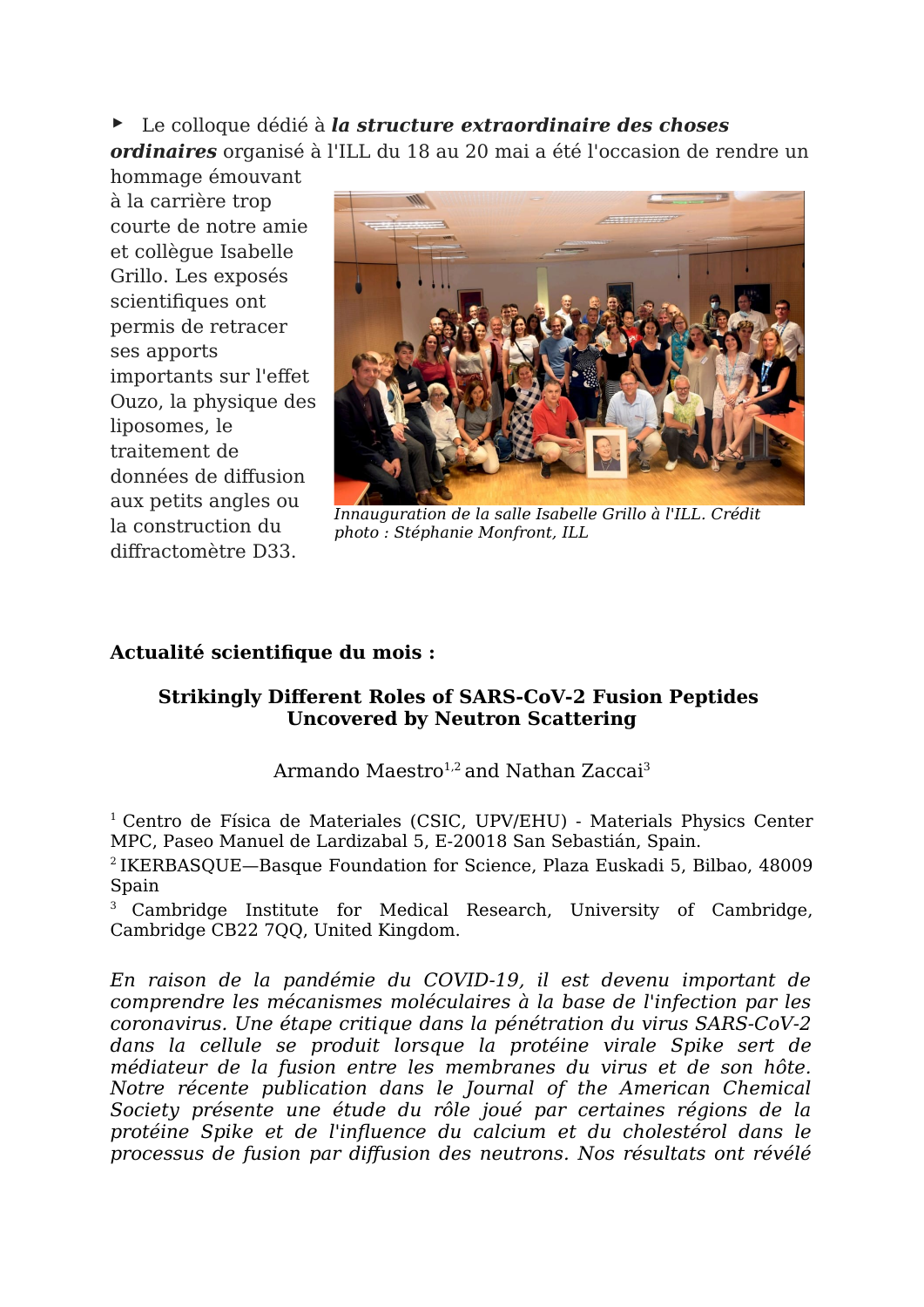▶ Le colloque dédié à *la structure extraordinaire des choses* 

*ordinaires* organisé à l'ILL du 18 au 20 mai a été l'occasion de rendre un hommage émouvant

à la carrière trop courte de notre amie et collègue Isabelle Grillo. Les exposés scientifiques ont permis de retracer ses apports importants sur l'effet Ouzo, la physique des liposomes, le traitement de données de diffusion aux petits angles ou la construction du diffractomètre D33.



*Innauguration de la salle Isabelle Grillo à l'ILL. Crédit photo : Stéphanie Monfront, ILL*

## **Actualité scientifique du mois :**

### **Strikingly Different Roles of SARS-CoV-2 Fusion Peptides Uncovered by Neutron Scattering**

## Armando Maestro<sup>1,2</sup> and Nathan Zaccai<sup>3</sup>

 $1$  Centro de Física de Materiales (CSIC, UPV/EHU) - Materials Physics Center MPC, Paseo Manuel de Lardizabal 5, E-20018 San Sebastián, Spain.

<sup>2</sup>IKERBASQUE—Basque Foundation for Science, Plaza Euskadi 5, Bilbao, 48009 Spain

<sup>3</sup> Cambridge Institute for Medical Research, University of Cambridge, Cambridge CB22 7QQ, United Kingdom.

*En raison de la pandémie du COVID-19, il est devenu important de comprendre les mécanismes moléculaires à la base de l'infection par les coronavirus. Une étape critique dans la pénétration du virus SARS-CoV-2 dans la cellule se produit lorsque la protéine virale Spike sert de médiateur de la fusion entre les membranes du virus et de son hôte. Notre récente publication dans le Journal of the American Chemical Society présente une étude du rôle joué par certaines régions de la protéine Spike et de l'influence du calcium et du cholestérol dans le processus de fusion par diffusion des neutrons. Nos résultats ont révélé*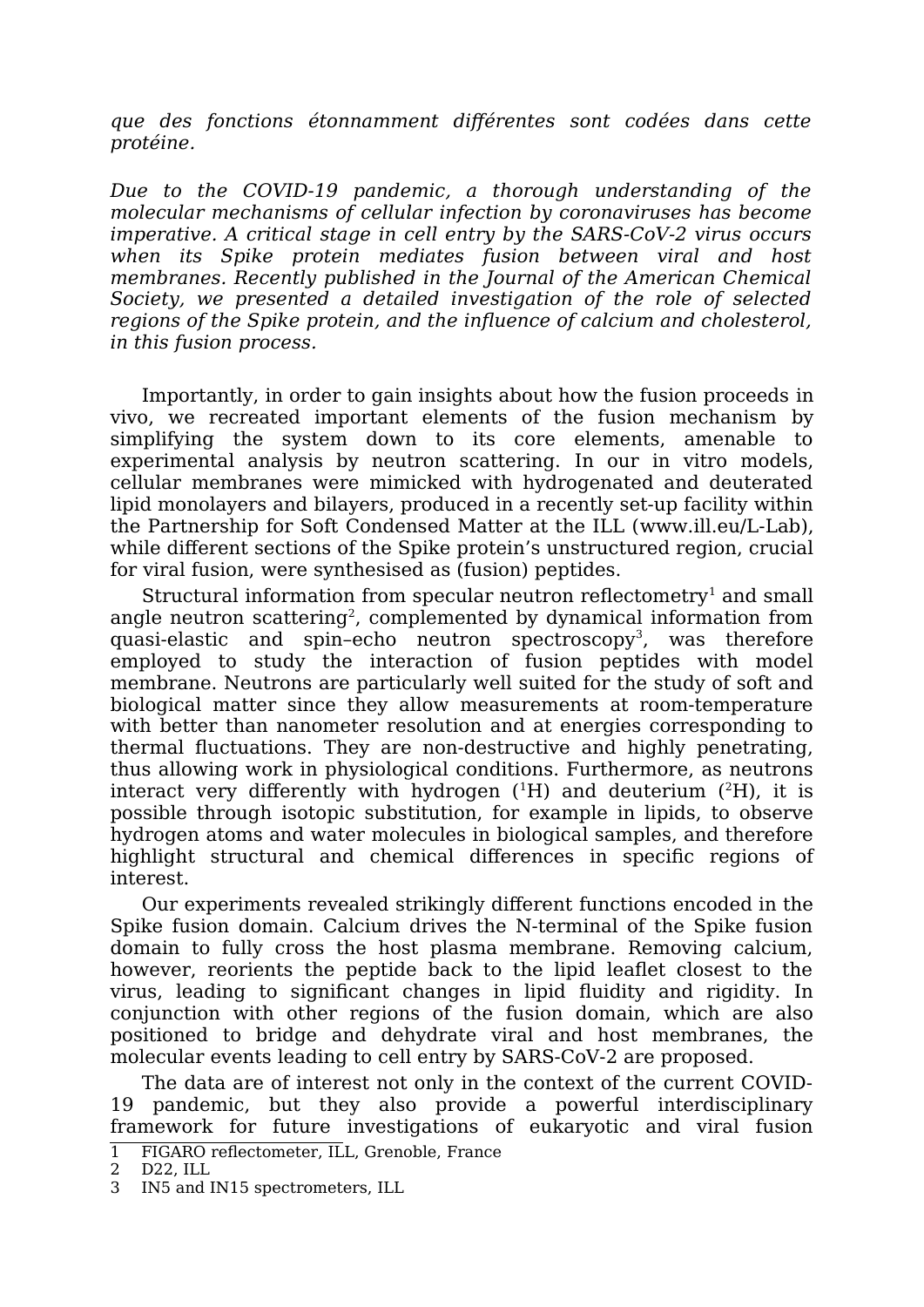*que des fonctions étonnamment différentes sont codées dans cette protéine.*

*Due to the COVID-19 pandemic, a thorough understanding of the molecular mechanisms of cellular infection by coronaviruses has become imperative. A critical stage in cell entry by the SARS-CoV-2 virus occurs when its Spike protein mediates fusion between viral and host membranes. Recently published in the Journal of the American Chemical Society, we presented a detailed investigation of the role of selected regions of the Spike protein, and the influence of calcium and cholesterol, in this fusion process.* 

Importantly, in order to gain insights about how the fusion proceeds in vivo, we recreated important elements of the fusion mechanism by simplifying the system down to its core elements, amenable to experimental analysis by neutron scattering. In our in vitro models, cellular membranes were mimicked with hydrogenated and deuterated lipid monolayers and bilayers, produced in a recently set-up facility within the Partnership for Soft Condensed Matter at the ILL (www.ill.eu/L-Lab), while different sections of the Spike protein's unstructured region, crucial for viral fusion, were synthesised as (fusion) peptides.

Structural information from specular neutron reflectometry<sup>[1](#page-2-0)</sup> and small angle neutron scattering<sup>[2](#page-2-1)</sup>, complemented by dynamical information from quasi-elastic and spin-echo neutron spectroscopy<sup>[3](#page-2-2)</sup>, was therefore employed to study the interaction of fusion peptides with model membrane. Neutrons are particularly well suited for the study of soft and biological matter since they allow measurements at room-temperature with better than nanometer resolution and at energies corresponding to thermal fluctuations. They are non-destructive and highly penetrating, thus allowing work in physiological conditions. Furthermore, as neutrons interact very differently with hydrogen  $(^1H)$  and deuterium  $(^2H)$ , it is possible through isotopic substitution, for example in lipids, to observe hydrogen atoms and water molecules in biological samples, and therefore highlight structural and chemical differences in specific regions of interest.

Our experiments revealed strikingly different functions encoded in the Spike fusion domain. Calcium drives the N-terminal of the Spike fusion domain to fully cross the host plasma membrane. Removing calcium, however, reorients the peptide back to the lipid leaflet closest to the virus, leading to significant changes in lipid fluidity and rigidity. In conjunction with other regions of the fusion domain, which are also positioned to bridge and dehydrate viral and host membranes, the molecular events leading to cell entry by SARS-CoV-2 are proposed.

The data are of interest not only in the context of the current COVID-19 pandemic, but they also provide a powerful interdisciplinary framework for future investigations of eukaryotic and viral fusion

<span id="page-2-0"></span><sup>1</sup> FIGARO reflectometer, ILL, Grenoble, France

<span id="page-2-1"></span><sup>2</sup> D22, ILL

<span id="page-2-2"></span><sup>3</sup> IN5 and IN15 spectrometers, ILL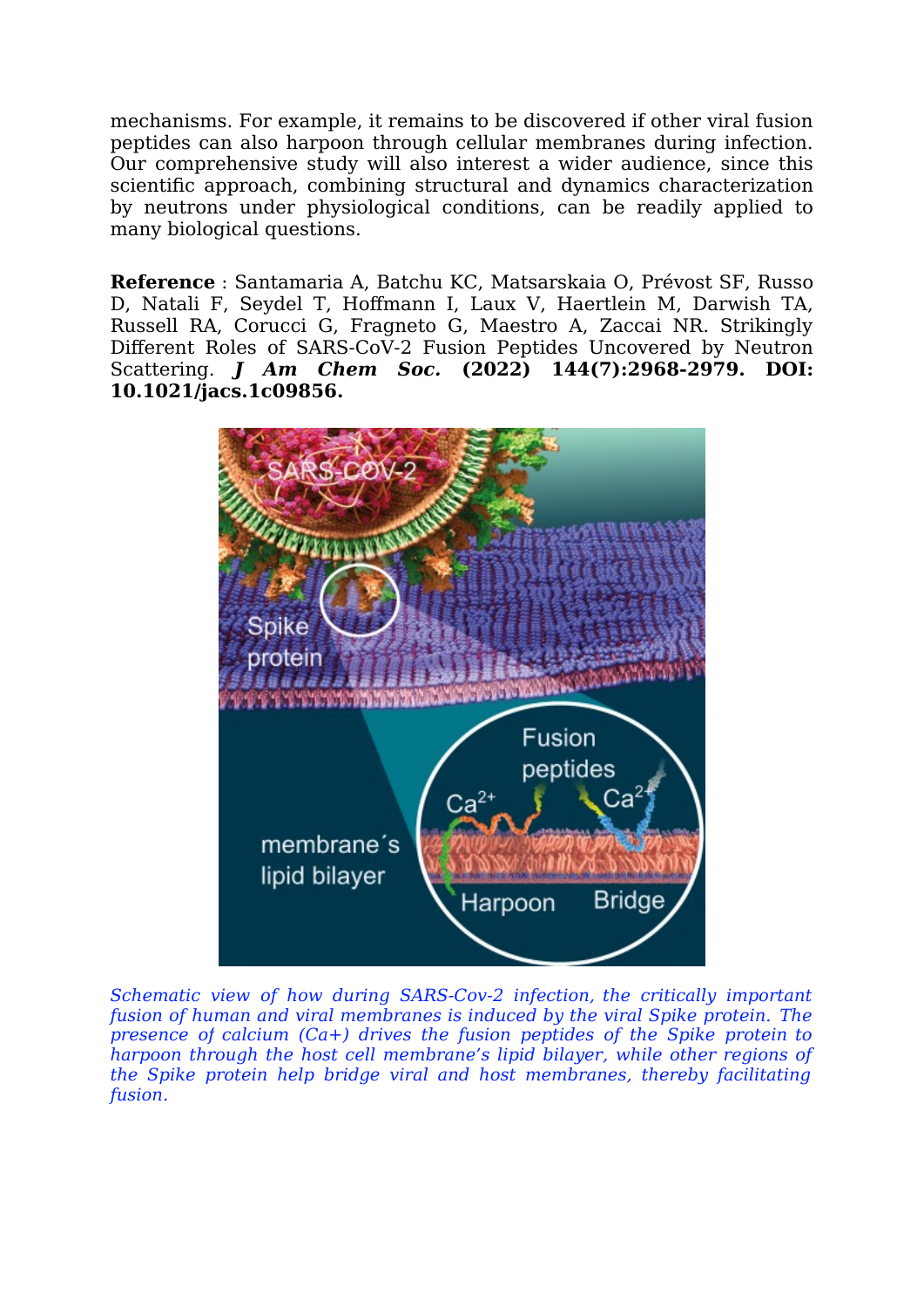mechanisms. For example, it remains to be discovered if other viral fusion peptides can also harpoon through cellular membranes during infection. Our comprehensive study will also interest a wider audience, since this scientific approach, combining structural and dynamics characterization by neutrons under physiological conditions, can be readily applied to many biological questions.

**Reference** : Santamaria A, Batchu KC, Matsarskaia O, Prévost SF, Russo D, Natali F, Seydel T, Hoffmann I, Laux V, Haertlein M, Darwish TA, Russell RA, Corucci G, Fragneto G, Maestro A, Zaccai NR. Strikingly Different Roles of SARS-CoV-2 Fusion Peptides Uncovered by Neutron Scattering. *J Am Chem Soc.* **(2022) 144(7):2968-2979. DOI: 10.1021/jacs.1c09856.** 



*Schematic view of how during SARS-Cov-2 infection, the critically important fusion of human and viral membranes is induced by the viral Spike protein. The presence of calcium (Ca+) drives the fusion peptides of the Spike protein to harpoon through the host cell membrane's lipid bilayer, while other regions of the Spike protein help bridge viral and host membranes, thereby facilitating fusion.*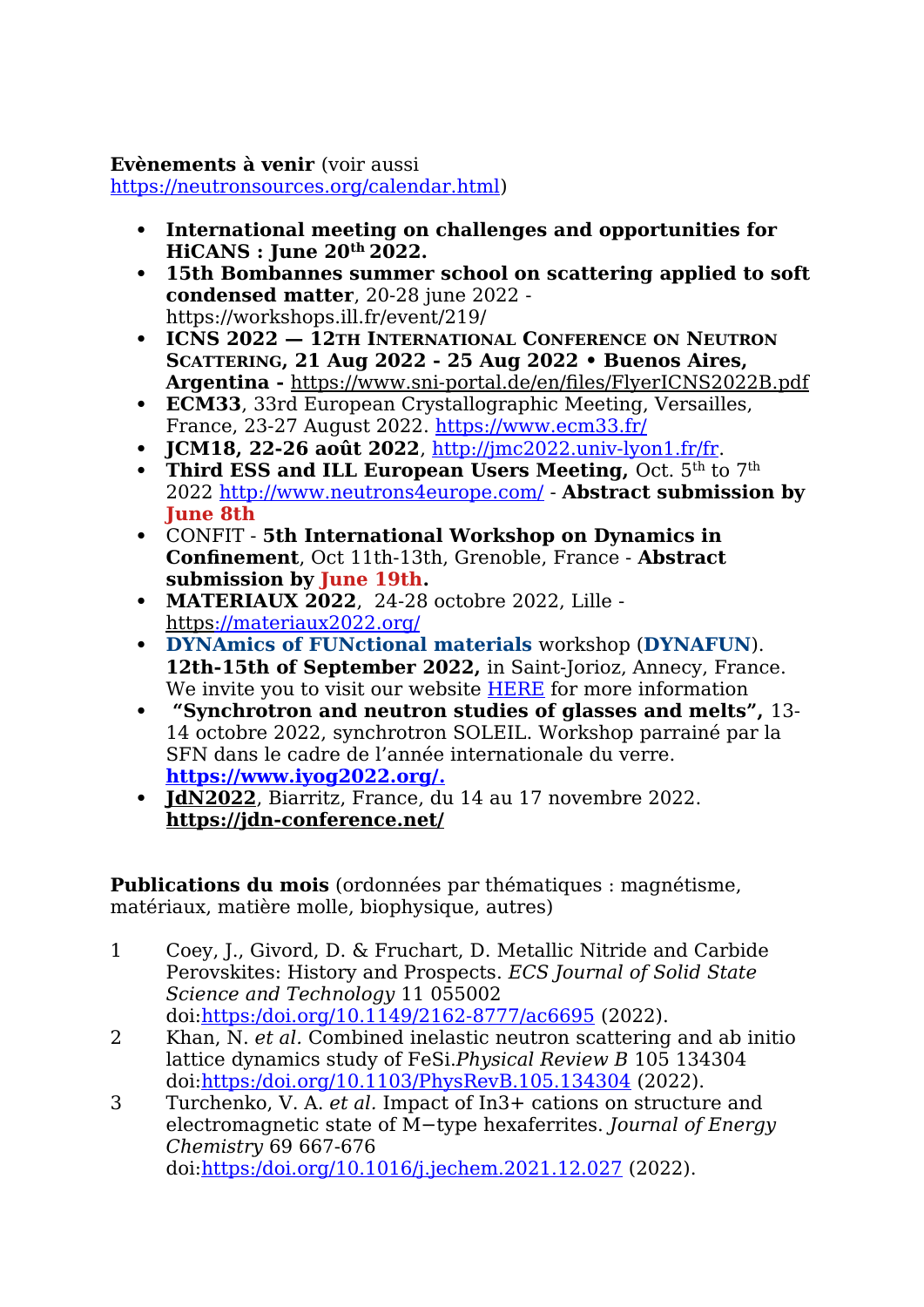#### **Evènements à venir** (voir aussi

<https://neutronsources.org/calendar.html>)

- **International meeting on challenges and opportunities for HiCANS : June 20th 2022.**
- **15th Bombannes summer school on scattering applied to soft condensed matter**, 20-28 june 2022 https://workshops.ill.fr/event/219/
- **ICNS 2022 12TH INTERNATIONAL CONFERENCE ON NEUTRON SCATTERING, 21 Aug 2022 - 25 Aug 2022 • Buenos Aires, Argentina -** <https://www.sni-portal.de/en/files/FlyerICNS2022B.pdf>
- **ECM33**, 33rd European Crystallographic Meeting, Versailles, France, 23-27 August 2022.<https://www.ecm33.fr/>
- **JCM18, 22-26 août 2022**,<http://jmc2022.univ-lyon1.fr/fr>.
- **Third ESS and ILL European Users Meeting, Oct. 5th to 7th <b>Th** 2022<http://www.neutrons4europe.com/>- **Abstract submission by June 8th**
- CONFIT **5th International Workshop on Dynamics in Confinement**, Oct 11th-13th, Grenoble, France - **Abstract submission by June 19th.**
- **MATERIAUX 2022**, 24-28 octobre 2022, Lille  [https ://materiaux2022.org/](https://materiaux2022.org/)
- **DYNAmics of FUNctional materials** workshop (**DYNAFUN**). **12th-15th of September 2022,** in Saint-Jorioz, Annecy, France. We invite you to visit our website [HERE](https://workshops.ill.fr/e/DYNAFUN) for more information
- **"Synchrotron and neutron studies of glasses and melts",** 13- 14 octobre 2022, synchrotron SOLEIL. Workshop parrainé par la SFN dans le cadre de l'année internationale du verre. **<https://www.iyog2022.org/>[.](https://eye.sbc32.com/c?p=wAbNA8bDxBDQrW3QrEJG0K1G0NPQmev6XuPQm9CQ0J_EECfQzRonZuNF0JDQqtCZ0Jo8Mhhz0L25aHR0cHM6Ly93d3cuaXlvZzIwMjIub3JnL7g1YmYzZGZhYWI4NWI1MzQ5OWVkZGViZTa4NjI1N2QxNmE3OWI5ZmI0NTY1NzI3NWZkwLZyQnRUYVNzZlNiV1VqT2dMVFRVSmZ3rWV5ZS5zYmMzMi5jb23EFNCDQNC20JXvMtDJ0NRBf9CrKAj8f0sb9NC70M4)**
- **JdN2022**, Biarritz, France, du 14 au 17 novembre 2022. **<https://jdn-conference.net/>**

**Publications du mois** (ordonnées par thématiques : magnétisme, matériaux, matière molle, biophysique, autres)

- 1 Coey, J., Givord, D. & Fruchart, D. Metallic Nitride and Carbide Perovskites: History and Prospects. *ECS Journal of Solid State Science and Technology* 11 055002 doi:[https:/doi.org/10.1149/2162-8777/ac6695](https://doi.org/10.1149/2162-8777/ac6695) (2022).
- 2 Khan, N. *et al.* Combined inelastic neutron scattering and ab initio lattice dynamics study of FeSi.*Physical Review B* 105 134304 doi:[https:/doi.org/10.1103/PhysRevB.105.134304](https://doi.org/10.1103/PhysRevB.105.134304) (2022).
- 3 Turchenko, V. A. *et al.* Impact of In3+ cations on structure and electromagnetic state of M−type hexaferrites. *Journal of Energy Chemistry* 69 667-676 doi:[https:/doi.org/10.1016/j.jechem.2021.12.027](https://doi.org/10.1016/j.jechem.2021.12.027) (2022).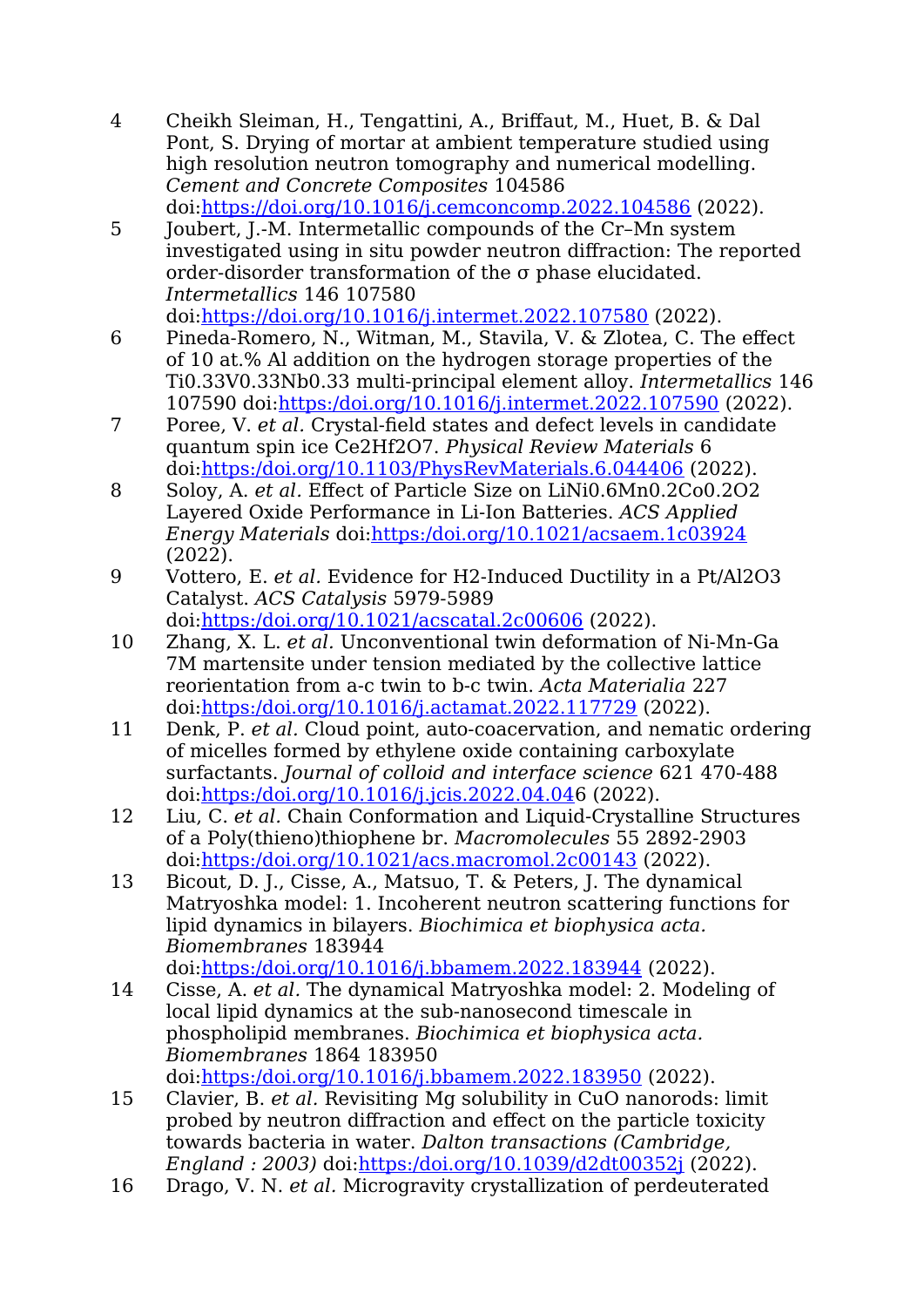- 4 Cheikh Sleiman, H., Tengattini, A., Briffaut, M., Huet, B. & Dal Pont, S. Drying of mortar at ambient temperature studied using high resolution neutron tomography and numerical modelling. *Cement and Concrete Composites* 104586 doi:<https://doi.org/10.1016/j.cemconcomp.2022.104586> (2022).
- 5 Joubert, J.-M. Intermetallic compounds of the Cr–Mn system investigated using in situ powder neutron diffraction: The reported order-disorder transformation of the σ phase elucidated. *Intermetallics* 146 107580 doi:<https://doi.org/10.1016/j.intermet.2022.107580> (2022).
- 6 Pineda-Romero, N., Witman, M., Stavila, V. & Zlotea, C. The effect of 10 at.% Al addition on the hydrogen storage properties of the Ti0.33V0.33Nb0.33 multi-principal element alloy. *Intermetallics* 146 107590 doi[:https:/doi.org/10.1016/j.intermet.2022.107590](https://doi.org/10.1016/j.intermet.2022.107590) (2022).
- 7 Poree, V. *et al.* Crystal-field states and defect levels in candidate quantum spin ice Ce2Hf2O7. *Physical Review Materials* 6 doi:[https:/doi.org/10.1103/PhysRevMaterials.6.044406](https://doi.org/10.1103/PhysRevMaterials.6.044406) (2022).
- 8 Soloy, A. *et al.* Effect of Particle Size on LiNi0.6Mn0.2Co0.2O2 Layered Oxide Performance in Li-Ion Batteries. *ACS Applied Energy Materials* doi[:https:/doi.org/10.1021/acsaem.1c03924](https://doi.org/10.1021/acsaem.1c03924) (2022).
- 9 Vottero, E. *et al.* Evidence for H2-Induced Ductility in a Pt/Al2O3 Catalyst. *ACS Catalysis* 5979-5989 doi:[https:/doi.org/10.1021/acscatal.2c00606](https://doi.org/10.1021/acscatal.2c00606) (2022).
- 10 Zhang, X. L. *et al.* Unconventional twin deformation of Ni-Mn-Ga 7M martensite under tension mediated by the collective lattice reorientation from a-c twin to b-c twin. *Acta Materialia* 227 doi:[https:/doi.org/10.1016/j.actamat.2022.117729](https://doi.org/10.1016/j.actamat.2022.117729) (2022).
- 11 Denk, P. *et al.* Cloud point, auto-coacervation, and nematic ordering of micelles formed by ethylene oxide containing carboxylate surfactants. *Journal of colloid and interface science* 621 470-488 doi:[https:/doi.org/10.1016/j.jcis.2022.04.04](https://doi.org/10.1016/j.jcis.2022.04.04)6 (2022).
- 12 Liu, C. *et al.* Chain Conformation and Liquid-Crystalline Structures of a Poly(thieno)thiophene br. *Macromolecules* 55 2892-2903 doi:[https:/doi.org/10.1021/acs.macromol.2c00143](https://doi.org/10.1021/acs.macromol.2c00143) (2022).
- 13 Bicout, D. J., Cisse, A., Matsuo, T. & Peters, J. The dynamical Matryoshka model: 1. Incoherent neutron scattering functions for lipid dynamics in bilayers. *Biochimica et biophysica acta. Biomembranes* 183944

doi:[https:/doi.org/10.1016/j.bbamem.2022.183944](https://doi.org/10.1016/j.bbamem.2022.183944) (2022).

- 14 Cisse, A. *et al.* The dynamical Matryoshka model: 2. Modeling of local lipid dynamics at the sub-nanosecond timescale in phospholipid membranes. *Biochimica et biophysica acta. Biomembranes* 1864 183950 doi:[https:/doi.org/10.1016/j.bbamem.2022.183950](https://doi.org/10.1016/j.bbamem.2022.183950) (2022).
- 15 Clavier, B. *et al.* Revisiting Mg solubility in CuO nanorods: limit probed by neutron diffraction and effect on the particle toxicity towards bacteria in water. *Dalton transactions (Cambridge, England : 2003)* doi:[https:/doi.org/10.1039/d2dt00352j](https://doi.org/10.1039/d2dt00352j) (2022).
- 16 Drago, V. N. *et al.* Microgravity crystallization of perdeuterated